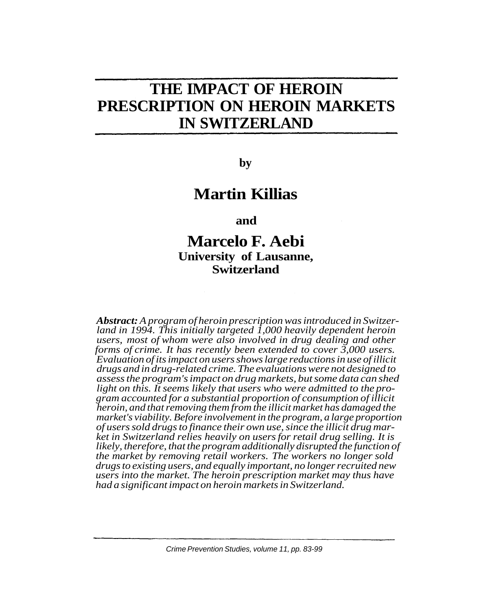# **THE IMPACT OF HEROIN PRESCRIPTION ON HEROIN MARKETS IN SWITZERLAND**

**by**

# **Martin Killias**

### **and**

# **Marcelo F. Aebi University of Lausanne, Switzerland**

*Abstract: A program of heroin prescription was introduced in Switzerland in 1994. This initially targeted 1,000 heavily dependent heroin users, most of whom were also involved in drug dealing and other forms of crime. It has recently been extended to cover 3,000 users. Evaluation of its impact on users shows large reductions in use of illicit drugs and in drug-related crime. The evaluations were not designed to assess the program's impact on drug markets, but some data can shed light on this. It seems likely that users who were admitted to the program accounted for a substantial proportion of consumption of illicit heroin, and that removing them from the illicit market has damaged the market's viability. Before involvement in the program, a large proportion of users sold drugs to finance their own use, since the illicit drug market in Switzerland relies heavily on users for retail drug selling. It is likely, therefore, that the program additionally disrupted the function of the market by removing retail workers. The workers no longer sold drugs to existing users, and equally important, no longer recruited new users into the market. The heroin prescription market may thus have had a significant impact on heroin markets in Switzerland.*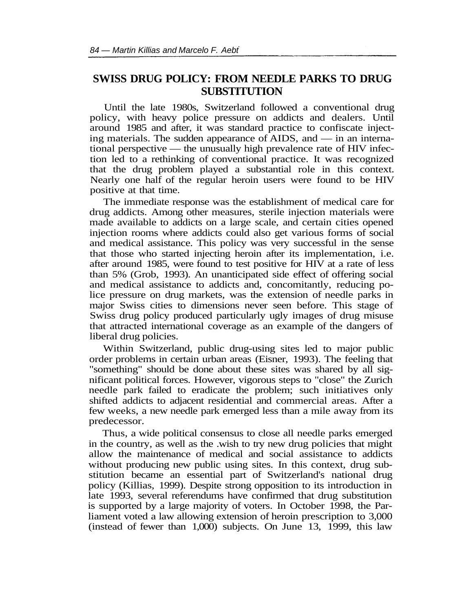## **SWISS DRUG POLICY: FROM NEEDLE PARKS TO DRUG SUBSTITUTION**

Until the late 1980s, Switzerland followed a conventional drug policy, with heavy police pressure on addicts and dealers. Until around 1985 and after, it was standard practice to confiscate injecting materials. The sudden appearance of AIDS, and — in an international perspective — the unusually high prevalence rate of HIV infection led to a rethinking of conventional practice. It was recognized that the drug problem played a substantial role in this context. Nearly one half of the regular heroin users were found to be HIV positive at that time.

The immediate response was the establishment of medical care for drug addicts. Among other measures, sterile injection materials were made available to addicts on a large scale, and certain cities opened injection rooms where addicts could also get various forms of social and medical assistance. This policy was very successful in the sense that those who started injecting heroin after its implementation, i.e. after around 1985, were found to test positive for HIV at a rate of less than 5% (Grob, 1993). An unanticipated side effect of offering social and medical assistance to addicts and, concomitantly, reducing police pressure on drug markets, was the extension of needle parks in major Swiss cities to dimensions never seen before. This stage of Swiss drug policy produced particularly ugly images of drug misuse that attracted international coverage as an example of the dangers of liberal drug policies.

Within Switzerland, public drug-using sites led to major public order problems in certain urban areas (Eisner, 1993). The feeling that "something" should be done about these sites was shared by all significant political forces. However, vigorous steps to "close" the Zurich needle park failed to eradicate the problem; such initiatives only shifted addicts to adjacent residential and commercial areas. After a few weeks, a new needle park emerged less than a mile away from its predecessor.

Thus, a wide political consensus to close all needle parks emerged in the country, as well as the .wish to try new drug policies that might allow the maintenance of medical and social assistance to addicts without producing new public using sites. In this context, drug substitution became an essential part of Switzerland's national drug policy (Killias, 1999). Despite strong opposition to its introduction in late 1993, several referendums have confirmed that drug substitution is supported by a large majority of voters. In October 1998, the Parliament voted a law allowing extension of heroin prescription to 3,000 (instead of fewer than 1,000) subjects. On June 13, 1999, this law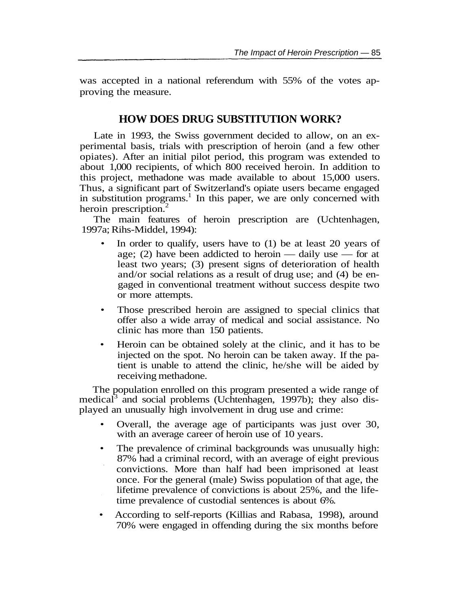was accepted in a national referendum with 55% of the votes approving the measure.

### **HOW DOES DRUG SUBSTITUTION WORK?**

Late in 1993, the Swiss government decided to allow, on an experimental basis, trials with prescription of heroin (and a few other opiates). After an initial pilot period, this program was extended to about 1,000 recipients, of which 800 received heroin. In addition to this project, methadone was made available to about 15,000 users. Thus, a significant part of Switzerland's opiate users became engaged in substitution programs.<sup>1</sup> In this paper, we are only concerned with heroin prescription. $^{2}$ 

The main features of heroin prescription are (Uchtenhagen, 1997a; Rihs-Middel, 1994):

- In order to qualify, users have to (1) be at least 20 years of age; (2) have been addicted to heroin — daily use — for at least two years; (3) present signs of deterioration of health and/or social relations as a result of drug use; and (4) be engaged in conventional treatment without success despite two or more attempts.
- Those prescribed heroin are assigned to special clinics that offer also a wide array of medical and social assistance. No clinic has more than 150 patients.
- Heroin can be obtained solely at the clinic, and it has to be injected on the spot. No heroin can be taken away. If the patient is unable to attend the clinic, he/she will be aided by receiving methadone.

The population enrolled on this program presented a wide range of medical<sup>3</sup> and social problems (Uchtenhagen, 1997b); they also displayed an unusually high involvement in drug use and crime:

- Overall, the average age of participants was just over 30, with an average career of heroin use of 10 years.
- The prevalence of criminal backgrounds was unusually high: 87% had a criminal record, with an average of eight previous convictions. More than half had been imprisoned at least once. For the general (male) Swiss population of that age, the lifetime prevalence of convictions is about 25%, and the lifetime prevalence of custodial sentences is about 6%.
- According to self-reports (Killias and Rabasa, 1998), around 70% were engaged in offending during the six months before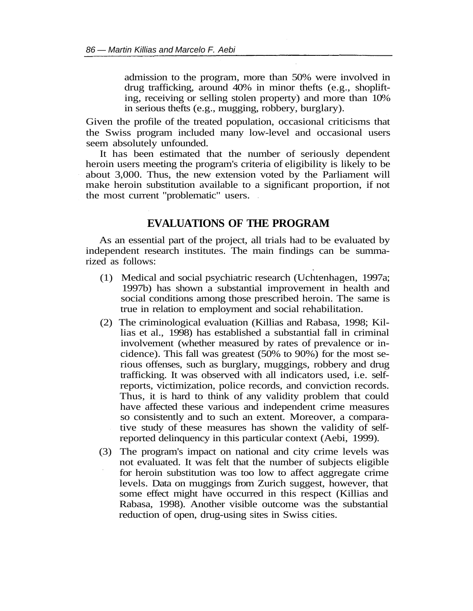admission to the program, more than 50% were involved in drug trafficking, around 40% in minor thefts (e.g., shoplifting, receiving or selling stolen property) and more than 10% in serious thefts (e.g., mugging, robbery, burglary).

Given the profile of the treated population, occasional criticisms that the Swiss program included many low-level and occasional users seem absolutely unfounded.

It has been estimated that the number of seriously dependent heroin users meeting the program's criteria of eligibility is likely to be about 3,000. Thus, the new extension voted by the Parliament will make heroin substitution available to a significant proportion, if not the most current "problematic" users.

#### **EVALUATIONS OF THE PROGRAM**

As an essential part of the project, all trials had to be evaluated by independent research institutes. The main findings can be summarized as follows:

- (1) Medical and social psychiatric research (Uchtenhagen, 1997a; 1997b) has shown a substantial improvement in health and social conditions among those prescribed heroin. The same is true in relation to employment and social rehabilitation.
- (2) The criminological evaluation (Killias and Rabasa, 1998; Killias et al., 1998) has established a substantial fall in criminal involvement (whether measured by rates of prevalence or incidence). This fall was greatest (50% to 90%) for the most serious offenses, such as burglary, muggings, robbery and drug trafficking. It was observed with all indicators used, i.e. selfreports, victimization, police records, and conviction records. Thus, it is hard to think of any validity problem that could have affected these various and independent crime measures so consistently and to such an extent. Moreover, a comparative study of these measures has shown the validity of selfreported delinquency in this particular context (Aebi, 1999).
- (3) The program's impact on national and city crime levels was not evaluated. It was felt that the number of subjects eligible for heroin substitution was too low to affect aggregate crime levels. Data on muggings from Zurich suggest, however, that some effect might have occurred in this respect (Killias and Rabasa, 1998). Another visible outcome was the substantial reduction of open, drug-using sites in Swiss cities.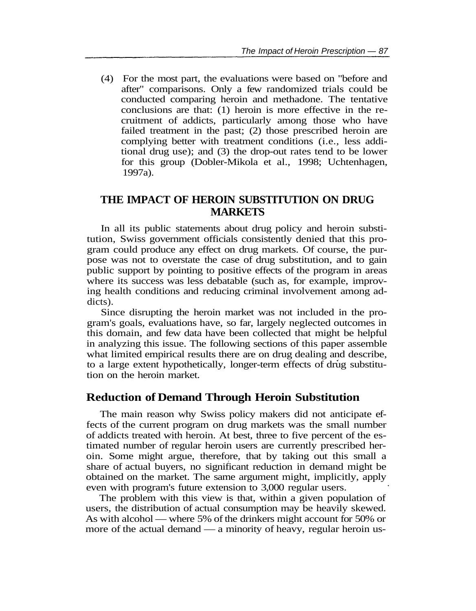(4) For the most part, the evaluations were based on "before and after" comparisons. Only a few randomized trials could be conducted comparing heroin and methadone. The tentative conclusions are that: (1) heroin is more effective in the recruitment of addicts, particularly among those who have failed treatment in the past; (2) those prescribed heroin are complying better with treatment conditions (i.e., less additional drug use); and (3) the drop-out rates tend to be lower for this group (Dobler-Mikola et al., 1998; Uchtenhagen, 1997a).

# **THE IMPACT OF HEROIN SUBSTITUTION ON DRUG MARKETS**

In all its public statements about drug policy and heroin substitution, Swiss government officials consistently denied that this program could produce any effect on drug markets. Of course, the purpose was not to overstate the case of drug substitution, and to gain public support by pointing to positive effects of the program in areas where its success was less debatable (such as, for example, improving health conditions and reducing criminal involvement among addicts).

Since disrupting the heroin market was not included in the program's goals, evaluations have, so far, largely neglected outcomes in this domain, and few data have been collected that might be helpful in analyzing this issue. The following sections of this paper assemble what limited empirical results there are on drug dealing and describe, to a large extent hypothetically, longer-term effects of drug substitution on the heroin market.

#### **Reduction of Demand Through Heroin Substitution**

The main reason why Swiss policy makers did not anticipate effects of the current program on drug markets was the small number of addicts treated with heroin. At best, three to five percent of the estimated number of regular heroin users are currently prescribed heroin. Some might argue, therefore, that by taking out this small a share of actual buyers, no significant reduction in demand might be obtained on the market. The same argument might, implicitly, apply even with program's future extension to 3,000 regular users.

The problem with this view is that, within a given population of users, the distribution of actual consumption may be heavily skewed. As with alcohol — where 5% of the drinkers might account for 50% or more of the actual demand — a minority of heavy, regular heroin us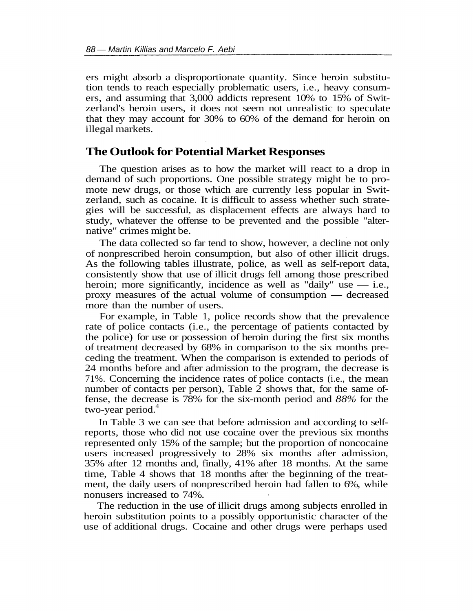ers might absorb a disproportionate quantity. Since heroin substitution tends to reach especially problematic users, i.e., heavy consumers, and assuming that 3,000 addicts represent 10% to 15% of Switzerland's heroin users, it does not seem not unrealistic to speculate that they may account for 30% to 60% of the demand for heroin on illegal markets.

#### **The Outlook for Potential Market Responses**

The question arises as to how the market will react to a drop in demand of such proportions. One possible strategy might be to promote new drugs, or those which are currently less popular in Switzerland, such as cocaine. It is difficult to assess whether such strategies will be successful, as displacement effects are always hard to study, whatever the offense to be prevented and the possible "alternative" crimes might be.

The data collected so far tend to show, however, a decline not only of nonprescribed heroin consumption, but also of other illicit drugs. As the following tables illustrate, police, as well as self-report data, consistently show that use of illicit drugs fell among those prescribed heroin; more significantly, incidence as well as "daily" use — i.e., proxy measures of the actual volume of consumption — decreased more than the number of users.

For example, in Table 1, police records show that the prevalence rate of police contacts (i.e., the percentage of patients contacted by the police) for use or possession of heroin during the first six months of treatment decreased by 68% in comparison to the six months preceding the treatment. When the comparison is extended to periods of 24 months before and after admission to the program, the decrease is 71%. Concerning the incidence rates of police contacts (i.e., the mean number of contacts per person), Table 2 shows that, for the same offense, the decrease is 78% for the six-month period and *88%* for the two-year period. $4$ 

In Table 3 we can see that before admission and according to selfreports, those who did not use cocaine over the previous six months represented only 15% of the sample; but the proportion of noncocaine users increased progressively to 28% six months after admission, 35% after 12 months and, finally, 41% after 18 months. At the same time, Table 4 shows that 18 months after the beginning of the treatment, the daily users of nonprescribed heroin had fallen to 6%, while nonusers increased to 74%.

The reduction in the use of illicit drugs among subjects enrolled in heroin substitution points to a possibly opportunistic character of the use of additional drugs. Cocaine and other drugs were perhaps used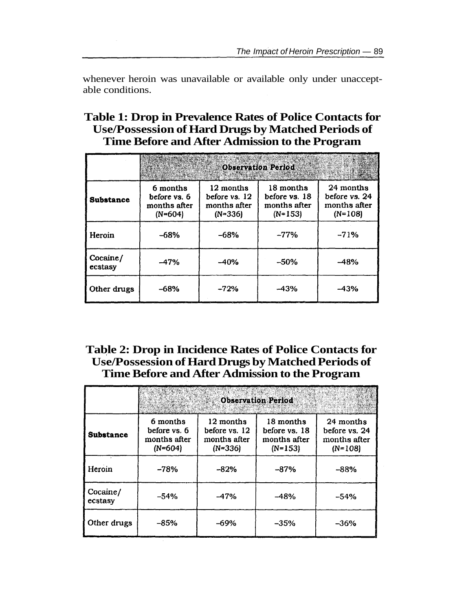whenever heroin was unavailable or available only under unacceptable conditions.

# **Table 1: Drop in Prevalence Rates of Police Contacts for Use/Possession of Hard Drugs by Matched Periods of Time Before and After Admission to the Program**

|                     |                                                       |                                                         | Observation Period                                      |                                                         |
|---------------------|-------------------------------------------------------|---------------------------------------------------------|---------------------------------------------------------|---------------------------------------------------------|
| <b>Substance</b>    | 6 months<br>before vs. 6<br>months after<br>$(N=604)$ | 12 months<br>before vs. 12<br>months after<br>$(N=336)$ | 18 months<br>before vs. 18<br>months after<br>$(N=153)$ | 24 months<br>before vs. 24<br>months after<br>$(N=108)$ |
| Heroin              | -68%                                                  | $-68%$                                                  | $-77%$                                                  | $-71%$                                                  |
| Cocaine/<br>ecstasy | $-47%$                                                | -40%                                                    | $-50%$                                                  | -48%                                                    |
| Other drugs         | $-68%$                                                | -72%                                                    | -43%                                                    | -43%                                                    |

# **Table 2: Drop in Incidence Rates of Police Contacts for Use/Possession of Hard Drugs by Matched Periods of Time Before and After Admission to the Program**

|                     |                                                       |                                                         | <b>Observation Period</b>                               |                                                         |
|---------------------|-------------------------------------------------------|---------------------------------------------------------|---------------------------------------------------------|---------------------------------------------------------|
| <b>Substance</b>    | 6 months<br>before vs. 6<br>months after<br>$(N=604)$ | 12 months<br>before vs. 12<br>months after<br>$(N=336)$ | 18 months<br>before vs. 18<br>months after<br>$(N=153)$ | 24 months<br>before vs. 24<br>months after<br>$(N=108)$ |
| Heroin              | $-78%$                                                | $-82%$                                                  | -87%                                                    | -88%                                                    |
| Cocaine/<br>ecstasy | $-54%$                                                | $-47%$                                                  | -48%                                                    | $-54%$                                                  |
| Other drugs         | $-85%$                                                | -69%                                                    | $-35%$                                                  | -36%                                                    |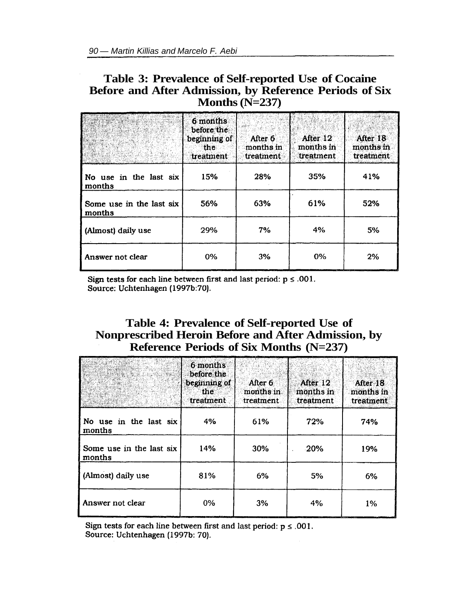# **Table 3: Prevalence of Self-reported Use of Cocaine Before and After Admission, by Reference Periods of Six Months (N=237)**

| the Court of the Court             | 6 months<br>before the<br>beginning of<br>the<br>treatment | After 6<br>months in<br>treatment | After 12<br>months in<br>treatment | After 18<br>months in<br>treatment |
|------------------------------------|------------------------------------------------------------|-----------------------------------|------------------------------------|------------------------------------|
| No use in the last six<br>months   | 15%                                                        | 28%                               | 35%                                | 41%                                |
| Some use in the last six<br>months | 56%                                                        | 63%                               | 61%                                | 52%                                |
| (Almost) daily use                 | 29%                                                        | 7%                                | 4%                                 | 5%                                 |
| Answer not clear                   | 0%                                                         | 3%                                | 0%                                 | 2%                                 |

Sign tests for each line between first and last period:  $p \le 0.001$ . Source: Uchtenhagen (1997b:70).

# **Table 4: Prevalence of Self-reported Use of Nonprescribed Heroin Before and After Admission, by Reference Periods of Six Months (N=237)**

|                                    | 6 months<br>before the<br>beginning of<br>the<br>treatment | After 6<br>months in<br>treatment | After 12<br>months in<br>treatment | After 18<br>months in<br>treatment |
|------------------------------------|------------------------------------------------------------|-----------------------------------|------------------------------------|------------------------------------|
| No use in the last six<br>months   | 4%                                                         | 61%                               | 72%                                | 74%                                |
| Some use in the last six<br>months | 14%                                                        | 30%                               | 20%                                | 19%                                |
| (Almost) daily use                 | 81%                                                        | 6%                                | 5%                                 | 6%                                 |
| Answer not clear                   | $0\%$                                                      | 3%                                | 4%                                 | $1\%$                              |

Sign tests for each line between first and last period:  $p \le 0.001$ . Source: Uchtenhagen (1997b: 70).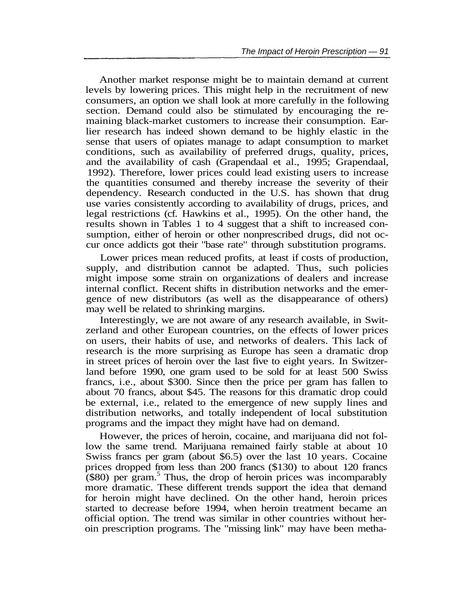Another market response might be to maintain demand at current levels by lowering prices. This might help in the recruitment of new consumers, an option we shall look at more carefully in the following section. Demand could also be stimulated by encouraging the remaining black-market customers to increase their consumption. Earlier research has indeed shown demand to be highly elastic in the sense that users of opiates manage to adapt consumption to market conditions, such as availability of preferred drugs, quality, prices, and the availability of cash (Grapendaal et al., 1995; Grapendaal, 1992). Therefore, lower prices could lead existing users to increase the quantities consumed and thereby increase the severity of their dependency. Research conducted in the U.S. has shown that drug use varies consistently according to availability of drugs, prices, and legal restrictions (cf. Hawkins et al., 1995). On the other hand, the results shown in Tables 1 to 4 suggest that a shift to increased consumption, either of heroin or other nonprescribed drugs, did not occur once addicts got their "base rate" through substitution programs.

Lower prices mean reduced profits, at least if costs of production, supply, and distribution cannot be adapted. Thus, such policies might impose some strain on organizations of dealers and increase internal conflict. Recent shifts in distribution networks and the emergence of new distributors (as well as the disappearance of others) may well be related to shrinking margins.

Interestingly, we are not aware of any research available, in Switzerland and other European countries, on the effects of lower prices on users, their habits of use, and networks of dealers. This lack of research is the more surprising as Europe has seen a dramatic drop in street prices of heroin over the last five to eight years. In Switzerland before 1990, one gram used to be sold for at least 500 Swiss francs, i.e., about \$300. Since then the price per gram has fallen to about 70 francs, about \$45. The reasons for this dramatic drop could be external, i.e., related to the emergence of new supply lines and distribution networks, and totally independent of local substitution programs and the impact they might have had on demand.

However, the prices of heroin, cocaine, and marijuana did not follow the same trend. Marijuana remained fairly stable at about 10 Swiss francs per gram (about \$6.5) over the last 10 years. Cocaine prices dropped from less than 200 francs (\$130) to about 120 francs  $($ \$80) per gram.<sup>5</sup> Thus, the drop of heroin prices was incomparably more dramatic. These different trends support the idea that demand for heroin might have declined. On the other hand, heroin prices started to decrease before 1994, when heroin treatment became an official option. The trend was similar in other countries without heroin prescription programs. The "missing link" may have been metha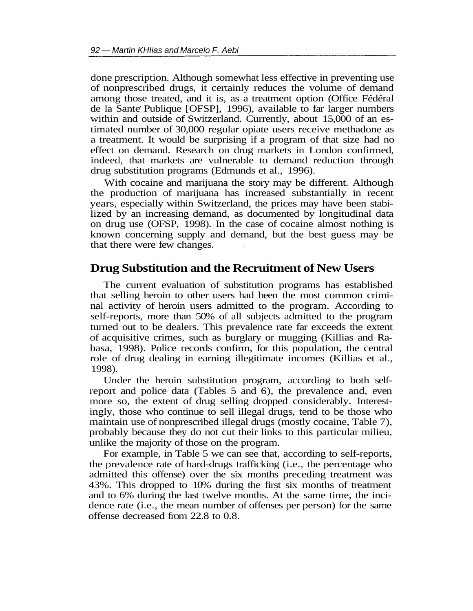done prescription. Although somewhat less effective in preventing use of nonprescribed drugs, it certainly reduces the volume of demand among those treated, and it is, as a treatment option (Office Federal de la Sante Publique [OFSP], 1996), available to far larger numbers within and outside of Switzerland. Currently, about 15,000 of an estimated number of 30,000 regular opiate users receive methadone as a treatment. It would be surprising if a program of that size had no effect on demand. Research on drug markets in London confirmed, indeed, that markets are vulnerable to demand reduction through drug substitution programs (Edmunds et al., 1996).

With cocaine and marijuana the story may be different. Although the production of marijuana has increased substantially in recent years, especially within Switzerland, the prices may have been stabilized by an increasing demand, as documented by longitudinal data on drug use (OFSP, 1998). In the case of cocaine almost nothing is known concerning supply and demand, but the best guess may be that there were few changes.

### **Drug Substitution and the Recruitment of New Users**

The current evaluation of substitution programs has established that selling heroin to other users had been the most common criminal activity of heroin users admitted to the program. According to self-reports, more than 50% of all subjects admitted to the program turned out to be dealers. This prevalence rate far exceeds the extent of acquisitive crimes, such as burglary or mugging (Killias and Rabasa, 1998). Police records confirm, for this population, the central role of drug dealing in earning illegitimate incomes (Killias et al., 1998).

Under the heroin substitution program, according to both selfreport and police data (Tables 5 and 6), the prevalence and, even more so, the extent of drug selling dropped considerably. Interestingly, those who continue to sell illegal drugs, tend to be those who maintain use of nonprescribed illegal drugs (mostly cocaine, Table 7), probably because they do not cut their links to this particular milieu, unlike the majority of those on the program.

For example, in Table 5 we can see that, according to self-reports, the prevalence rate of hard-drugs trafficking (i.e., the percentage who admitted this offense) over the six months preceding treatment was 43%. This dropped to 10% during the first six months of treatment and to 6% during the last twelve months. At the same time, the incidence rate (i.e., the mean number of offenses per person) for the same offense decreased from 22.8 to 0.8.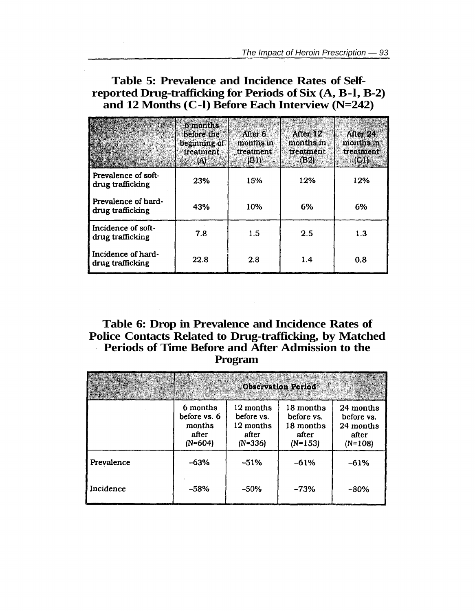**Table 5: Prevalence and Incidence Rates of Selfreported Drug-trafficking for Periods of Six (A, B-l, B-2) and 12 Months (C-l) Before Each Interview (N=242)**

|                                         | 6 months<br>before the<br>beginning of<br>treatment<br>(A) | After 6<br>months in<br>treatment<br>(B1) | After 12<br>months in<br>treatment<br>(B2) | After 24<br>months in<br>treatment<br>(01) |
|-----------------------------------------|------------------------------------------------------------|-------------------------------------------|--------------------------------------------|--------------------------------------------|
| Prevalence of soft-<br>drug trafficking | 23%                                                        | 15%                                       | 12%                                        | 12%                                        |
| Prevalence of hard-<br>drug trafficking | 43%                                                        | 10%                                       | 6%                                         | 6%                                         |
| Incidence of soft-<br>drug trafficking  | 7.8                                                        | 1.5                                       | 2.5                                        | 1.3                                        |
| Incidence of hard-<br>drug trafficking  | 22.8                                                       | 2.8                                       | 1.4                                        | 0.8                                        |

# **Table 6: Drop in Prevalence and Incidence Rates of Police Contacts Related to Drug-trafficking, by Matched Periods of Time Before and After Admission to the Program**

|            |                                                          |                                                            | <b>Observation Period</b>                                  |                                                            |
|------------|----------------------------------------------------------|------------------------------------------------------------|------------------------------------------------------------|------------------------------------------------------------|
|            | 6 months<br>before vs. 6<br>months<br>after<br>$(N=604)$ | 12 months<br>before vs.<br>12 months<br>after<br>$(N=336)$ | 18 months<br>before vs.<br>18 months<br>after<br>$(N-153)$ | 24 months<br>before vs.<br>24 months<br>after<br>$(N=108)$ |
| Prevalence | $-63%$                                                   | $-51%$                                                     | $-61%$                                                     | $-61%$                                                     |
| Incidence  | $-58%$                                                   | $-50%$                                                     | $-73%$                                                     | -80%                                                       |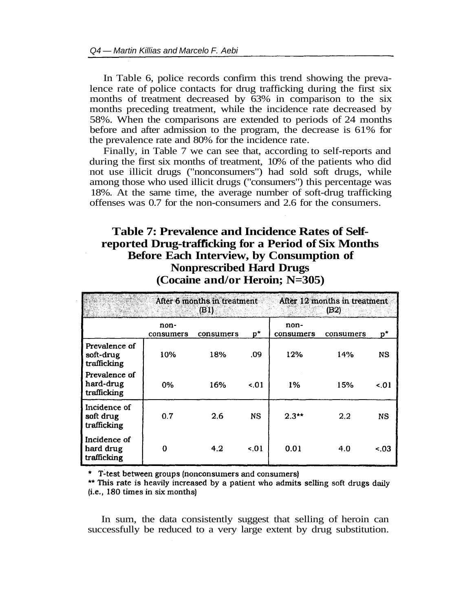In Table 6, police records confirm this trend showing the prevalence rate of police contacts for drug trafficking during the first six months of treatment decreased by 63% in comparison to the six months preceding treatment, while the incidence rate decreased by 58%. When the comparisons are extended to periods of 24 months before and after admission to the program, the decrease is 61% for the prevalence rate and 80% for the incidence rate.

Finally, in Table 7 we can see that, according to self-reports and during the first six months of treatment, 10% of the patients who did not use illicit drugs ("nonconsumers") had sold soft drugs, while among those who used illicit drugs ("consumers") this percentage was 18%. At the same time, the average number of soft-drug trafficking offenses was 0.7 for the non-consumers and 2.6 for the consumers.

# **Table 7: Prevalence and Incidence Rates of Selfreported Drug-trafficking for a Period of Six Months Before Each Interview, by Consumption of Nonprescribed Hard Drugs (Cocaine and/or Heroin; N=305)**

|                                           | After 6 months in treatment<br>(B1) |           |             | After 12 months in treatment<br>(B2) |           |        |
|-------------------------------------------|-------------------------------------|-----------|-------------|--------------------------------------|-----------|--------|
|                                           | non-<br>consumers                   | consumers | p*          | non-<br>consumers                    | consumers | p*     |
| Prevalence of<br>soft-drug<br>trafficking | 10%                                 | 18%       | .09         | 12%                                  | 14%       | NS     |
| Prevalence of<br>hard-drug<br>trafficking | 0%                                  | 16%       | 0.01        | $1\%$                                | 15%       | $-.01$ |
| Incidence of<br>soft drug<br>trafficking  | 0.7                                 | 2.6       | <b>NS</b>   | $2.3***$                             | 2.2       | NS     |
| Incidence of<br>hard drug<br>trafficking  | 0                                   | 4.2       | $\leq 0.01$ | 0.01                                 | 4.0       | ~103   |

\* T-test between groups (nonconsumers and consumers)

\*\* This rate is heavily increased by a patient who admits selling soft drugs daily  $(i.e., 180 times in six months)$ 

In sum, the data consistently suggest that selling of heroin can successfully be reduced to a very large extent by drug substitution.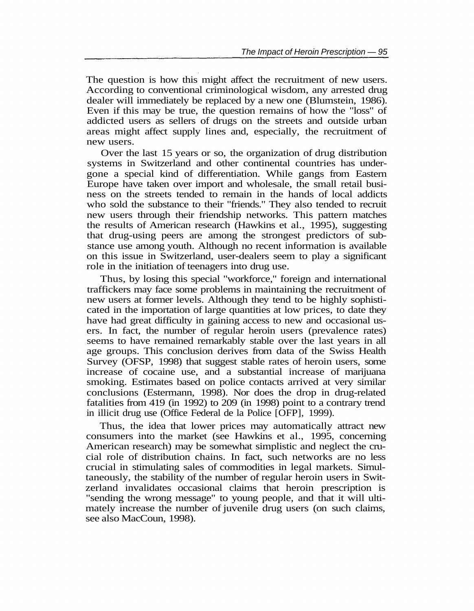The question is how this might affect the recruitment of new users. According to conventional criminological wisdom, any arrested drug dealer will immediately be replaced by a new one (Blumstein, 1986). Even if this may be true, the question remains of how the "loss" of addicted users as sellers of drugs on the streets and outside urban areas might affect supply lines and, especially, the recruitment of new users.

Over the last 15 years or so, the organization of drug distribution systems in Switzerland and other continental countries has undergone a special kind of differentiation. While gangs from Eastern Europe have taken over import and wholesale, the small retail business on the streets tended to remain in the hands of local addicts who sold the substance to their "friends." They also tended to recruit new users through their friendship networks. This pattern matches the results of American research (Hawkins et al., 1995), suggesting that drug-using peers are among the strongest predictors of substance use among youth. Although no recent information is available on this issue in Switzerland, user-dealers seem to play a significant role in the initiation of teenagers into drug use.

Thus, by losing this special "workforce," foreign and international traffickers may face some problems in maintaining the recruitment of new users at former levels. Although they tend to be highly sophisticated in the importation of large quantities at low prices, to date they have had great difficulty in gaining access to new and occasional users. In fact, the number of regular heroin users (prevalence rates) seems to have remained remarkably stable over the last years in all age groups. This conclusion derives from data of the Swiss Health Survey (OFSP, 1998) that suggest stable rates of heroin users, some increase of cocaine use, and a substantial increase of marijuana smoking. Estimates based on police contacts arrived at very similar conclusions (Estermann, 1998). Nor does the drop in drug-related fatalities from 419 (in 1992) to 209 (in 1998) point to a contrary trend in illicit drug use (Office Federal de la Police [OFP], 1999).

Thus, the idea that lower prices may automatically attract new consumers into the market (see Hawkins et al., 1995, concerning American research) may be somewhat simplistic and neglect the crucial role of distribution chains. In fact, such networks are no less crucial in stimulating sales of commodities in legal markets. Simultaneously, the stability of the number of regular heroin users in Switzerland invalidates occasional claims that heroin prescription is "sending the wrong message" to young people, and that it will ultimately increase the number of juvenile drug users (on such claims, see also MacCoun, 1998).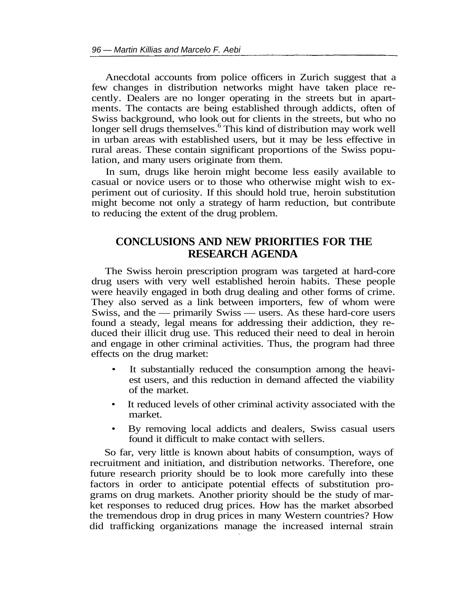Anecdotal accounts from police officers in Zurich suggest that a few changes in distribution networks might have taken place recently. Dealers are no longer operating in the streets but in apartments. The contacts are being established through addicts, often of Swiss background, who look out for clients in the streets, but who no longer sell drugs themselves.<sup>6</sup> This kind of distribution may work well in urban areas with established users, but it may be less effective in rural areas. These contain significant proportions of the Swiss population, and many users originate from them.

In sum, drugs like heroin might become less easily available to casual or novice users or to those who otherwise might wish to experiment out of curiosity. If this should hold true, heroin substitution might become not only a strategy of harm reduction, but contribute to reducing the extent of the drug problem.

# **CONCLUSIONS AND NEW PRIORITIES FOR THE RESEARCH AGENDA**

The Swiss heroin prescription program was targeted at hard-core drug users with very well established heroin habits. These people were heavily engaged in both drug dealing and other forms of crime. They also served as a link between importers, few of whom were Swiss, and the — primarily Swiss — users. As these hard-core users found a steady, legal means for addressing their addiction, they reduced their illicit drug use. This reduced their need to deal in heroin and engage in other criminal activities. Thus, the program had three effects on the drug market:

- It substantially reduced the consumption among the heaviest users, and this reduction in demand affected the viability of the market.
- It reduced levels of other criminal activity associated with the market.
- By removing local addicts and dealers, Swiss casual users found it difficult to make contact with sellers.

So far, very little is known about habits of consumption, ways of recruitment and initiation, and distribution networks. Therefore, one future research priority should be to look more carefully into these factors in order to anticipate potential effects of substitution programs on drug markets. Another priority should be the study of market responses to reduced drug prices. How has the market absorbed the tremendous drop in drug prices in many Western countries? How did trafficking organizations manage the increased internal strain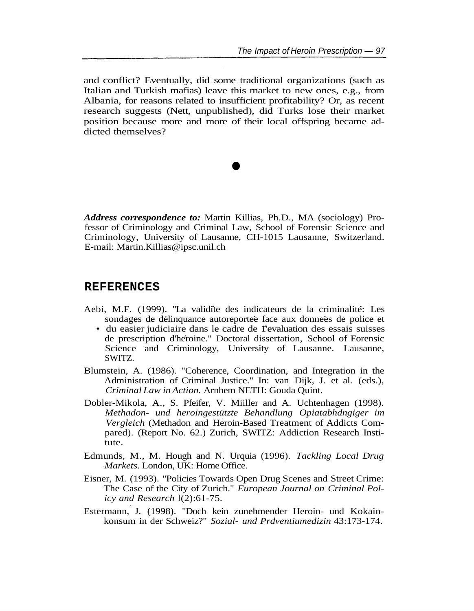and conflict? Eventually, did some traditional organizations (such as Italian and Turkish mafias) leave this market to new ones, e.g., from Albania, for reasons related to insufficient profitability? Or, as recent research suggests (Nett, unpublished), did Turks lose their market position because more and more of their local offspring became addicted themselves?

**•**

*Address correspondence to:* Martin Killias, Ph.D., MA (sociology) Professor of Criminology and Criminal Law, School of Forensic Science and Criminology, University of Lausanne, CH-1015 Lausanne, Switzerland. E-mail: Martin.Killias@ipsc.unil.ch

#### **REFERENCES**

- Aebi, M.F. (1999). "La validite des indicateurs de la criminalite: Les sondages de délinquance autoreporte face aux donnees de police et
	- du easier judiciaire dans le cadre de 1'evaluation des essais suisses de prescription d'heroine." Doctoral dissertation, School of Forensic Science and Criminology, University of Lausanne. Lausanne, SWITZ.
- Blumstein, A. (1986). "Coherence, Coordination, and Integration in the Administration of Criminal Justice." In: van Dijk, J. et al. (eds.), *Criminal Law in Action.* Arnhem NETH: Gouda Quint.
- Dobler-Mikola, A., S. Pfeifer, V. Miiller and A. Uchtenhagen (1998). *Methadon- und heroingestutzte Behandlung Opiatabhdngiger im Vergleich* (Methadon and Heroin-Based Treatment of Addicts Compared). (Report No. 62.) Zurich, SWITZ: Addiction Research Institute.
- Edmunds, M., M. Hough and N. Urquia (1996). *Tackling Local Drug Markets.* London, UK: Home Office.
- Eisner, M. (1993). "Policies Towards Open Drug Scenes and Street Crime: The Case of the City of Zurich." *European Journal on Criminal Policy and Research* l(2):61-75.
- Estermann, J. (1998). "Doch kein zunehmender Heroin- und Kokainkonsum in der Schweiz?" *Sozial- und Prdventiumedizin* 43:173-174.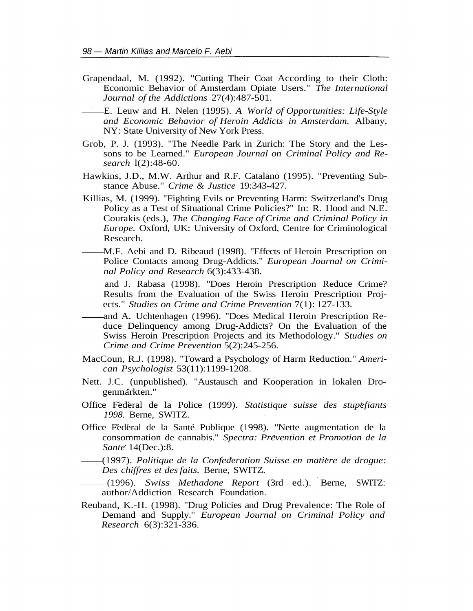- Grapendaal, M. (1992). "Cutting Their Coat According to their Cloth: Economic Behavior of Amsterdam Opiate Users." *The International Journal of the Addictions* 27(4):487-501.
- E. Leuw and H. Nelen (1995). *A World of Opportunities: Life-Style and Economic Behavior of Heroin Addicts in Amsterdam.* Albany, NY: State University of New York Press.
- Grob, P. J. (1993). "The Needle Park in Zurich: The Story and the Lessons to be Learned." *European Journal on Criminal Policy and Research* l(2):48-60.
- Hawkins, J.D., M.W. Arthur and R.F. Catalano (1995). "Preventing Substance Abuse." *Crime & Justice* 19:343-427.
- Killias, M. (1999). "Fighting Evils or Preventing Harm: Switzerland's Drug Policy as a Test of Situational Crime Policies?" In: R. Hood and N.E. Courakis (eds.), *The Changing Face of Crime and Criminal Policy in Europe.* Oxford, UK: University of Oxford, Centre for Criminological Research.
- M.F. Aebi and D. Ribeaud (1998). "Effects of Heroin Prescription on Police Contacts among Drug-Addicts." *European Journal on Criminal Policy and Research* 6(3):433-438.
- and J. Rabasa (1998). "Does Heroin Prescription Reduce Crime? Results from the Evaluation of the Swiss Heroin Prescription Projects." *Studies on Crime and Crime Prevention* 7(1): 127-133.
- and A. Uchtenhagen (1996). "Does Medical Heroin Prescription Reduce Delinquency among Drug-Addicts? On the Evaluation of the Swiss Heroin Prescription Projects and its Methodology." *Studies on Crime and Crime Prevention* 5(2):245-256.
- MacCoun, R.J. (1998). "Toward a Psychology of Harm Reduction." *American Psychologist* 53(11):1199-1208.
- Nett. J.C. (unpublished). "Austausch and Kooperation in lokalen Drogenmarkten."
- Office Federal de la Police (1999). *Statistique suisse des stupefiants 1998.* Berne, SWITZ.
- Office Federal de la Sante Publique (1998). "Nette augmentation de la consommation de cannabis." *Spectra: Prevention et Promotion de la Sante* 14(Dec.):8.
- (1997). *Politique de la Confederation Suisse en matiere de drogue: Des chiffres et des faits.* Berne, SWITZ.
- (1996). *Swiss Methadone Report* (3rd ed.). Berne, SWITZ: author/Addiction Research Foundation.
- Reuband, K.-H. (1998). "Drug Policies and Drug Prevalence: The Role of Demand and Supply." *European Journal on Criminal Policy and Research* 6(3):321-336.